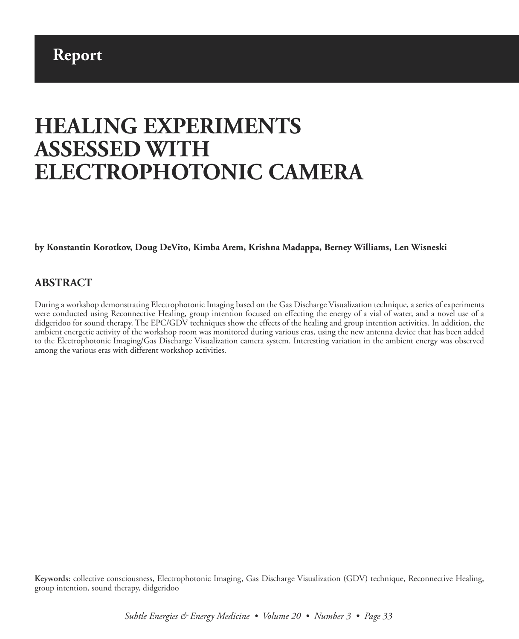# **HEALING EXPERIMENTS ASSESSED WITH ELECTROPHOTONIC CAMERA**

**by Konstantin Korotkov, Doug DeVito, Kimba Arem, Krishna Madappa, Berney Williams, Len Wisneski**

#### **ABSTRACT**

During a workshop demonstrating Electrophotonic Imaging based on the Gas Discharge Visualization technique, a series of experiments were conducted using Reconnective Healing, group intention focused on effecting the energy of a vial of water, and a novel use of a didgeridoo for sound therapy. The EPC/GDV techniques show the effects of the healing and group intention activities. In addition, the ambient energetic activity of the workshop room was monitored during various eras, using the new antenna device that has been added to the Electrophotonic Imaging/Gas Discharge Visualization camera system. Interesting variation in the ambient energy was observed among the various eras with different workshop activities.

**Keywords:** collective consciousness, Electrophotonic Imaging, Gas Discharge Visualization (GDV) technique, Reconnective Healing, group intention, sound therapy, didgeridoo

*Subtle Energies & Energy Medicine • Volume 20 • Number 3 • Page 33*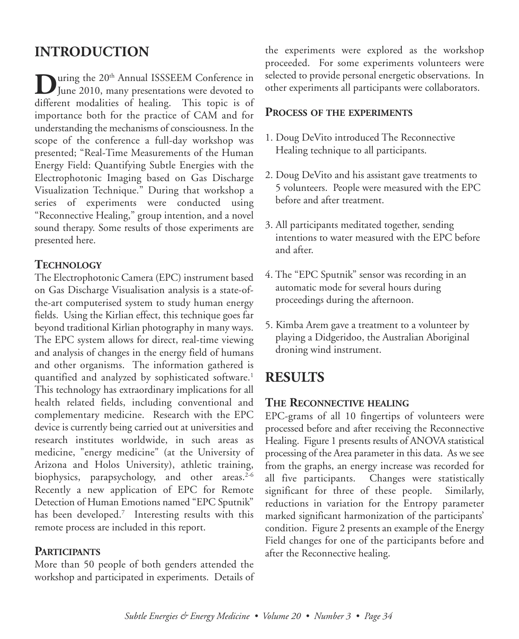# **INTRODUCTION**

**D**uring the 20<sup>th</sup> Annual ISSSEEM Conference in<br>June 2010, many presentations were devoted to different modalities of healing. This topic is of importance both for the practice of CAM and for understanding the mechanisms of consciousness. In the scope of the conference a full-day workshop was presented; "Real-Time Measurements of the Human Energy Field: Quantifying Subtle Energies with the Electrophotonic Imaging based on Gas Discharge Visualization Technique." During that workshop a series of experiments were conducted using "Reconnective Healing," group intention, and a novel sound therapy. Some results of those experiments are presented here.

### **TECHNOLOGY**

The Electrophotonic Camera (EPC) instrument based on Gas Discharge Visualisation analysis is a state-ofthe-art computerised system to study human energy fields. Using the Kirlian effect, this technique goes far beyond traditional Kirlian photography in many ways. The EPC system allows for direct, real-time viewing and analysis of changes in the energy field of humans and other organisms. The information gathered is quantified and analyzed by sophisticated software. 1 This technology has extraordinary implications for all health related fields, including conventional and complementary medicine. Research with the EPC device is currently being carried out at universities and research institutes worldwide, in such areas as medicine, "energy medicine" (at the University of Arizona and Holos University), athletic training, biophysics, parapsychology, and other areas. 2-6 Recently a new application of EPC for Remote Detection of Human Emotions named "EPC Sputnik" has been developed. <sup>7</sup> Interesting results with this remote process are included in this report.

#### **PARTICIPANTS**

More than 50 people of both genders attended the workshop and participated in experiments. Details of the experiments were explored as the workshop proceeded. For some experiments volunteers were selected to provide personal energetic observations. In other experiments all participants were collaborators.

#### **PROCESS OF THE EXPERIMENTS**

- 1. Doug DeVito introduced The Reconnective Healing technique to all participants.
- 2. Doug DeVito and his assistant gave treatments to 5 volunteers. People were measured with the EPC before and after treatment.
- 3. All participants meditated together, sending intentions to water measured with the EPC before and after.
- 4. The "EPC Sputnik" sensor was recording in an automatic mode for several hours during proceedings during the afternoon.
- 5. Kimba Arem gave a treatment to a volunteer by playing a Didgeridoo, the Australian Aboriginal droning wind instrument.

## **RESULTS**

## **THE RECONNECTIVE HEALING**

EPC-grams of all 10 fingertips of volunteers were processed before and after receiving the Reconnective Healing. Figure 1 presents results of ANOVA statistical processing of the Area parameter in this data. As we see from the graphs, an energy increase was recorded for all five participants. Changes were statistically significant for three of these people. Similarly, reductions in variation for the Entropy parameter marked significant harmonization of the participants' condition. Figure 2 presents an example of the Energy Field changes for one of the participants before and after the Reconnective healing.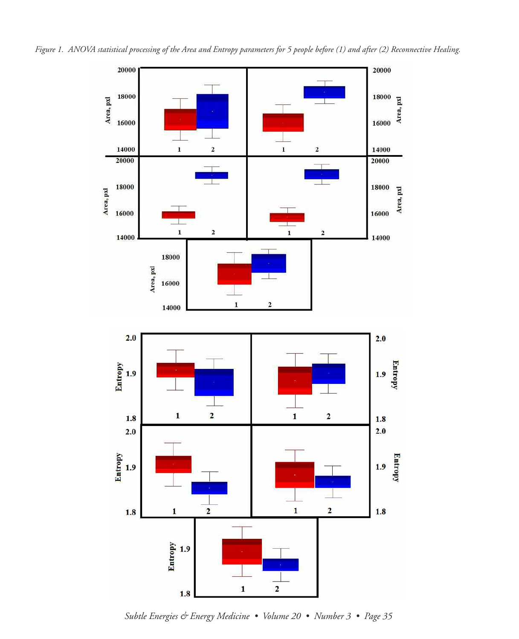

*Subtle Energies & Energy Medicine • Volume 20 • Number 3 • Page 35*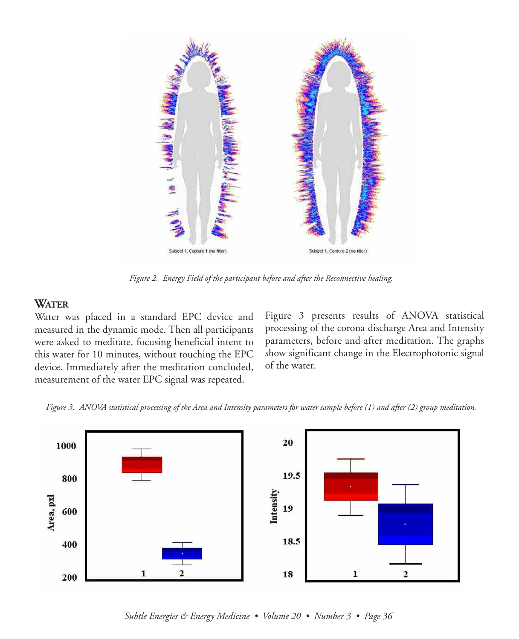

*Figure 2. Energy Field of the participant before and after the Reconnective healing.*

### **WATER**

Water was placed in a standard EPC device and measured in the dynamic mode. Then all participants were asked to meditate, focusing beneficial intent to this water for 10 minutes, without touching the EPC device. Immediately after the meditation concluded, measurement of the water EPC signal was repeated.

Figure 3 presents results of ANOVA statistical processing of the corona discharge Area and Intensity parameters, before and after meditation. The graphs show significant change in the Electrophotonic signal of the water.





*Subtle Energies & Energy Medicine • Volume 20 • Number 3 • Page 36*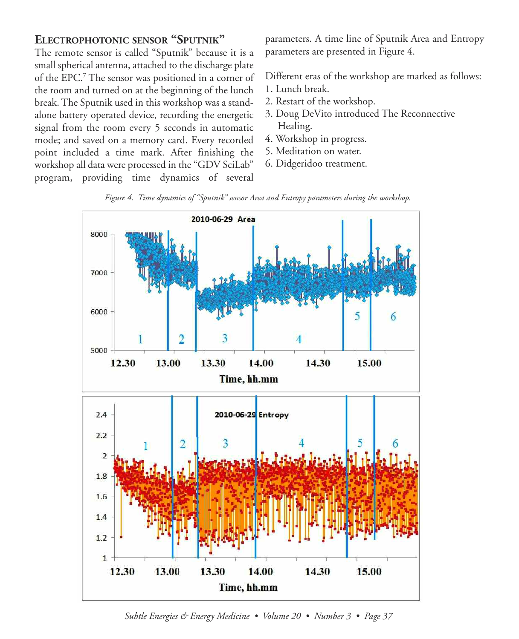#### **ELECTROPHOTONIC SENSOR "SPUTNIK"**

The remote sensor is called "Sputnik" because it is a small spherical antenna, attached to the discharge plate of the EPC. <sup>7</sup> The sensor was positioned in a corner of the room and turned on at the beginning of the lunch break. The Sputnik used in this workshop was a standalone battery operated device, recording the energetic signal from the room every 5 seconds in automatic mode; and saved on a memory card. Every recorded point included a time mark. After finishing the workshop all data were processed in the "GDV SciLab" program, providing time dynamics of several

parameters. A time line of Sputnik Area and Entropy parameters are presented in Figure 4.

Different eras of the workshop are marked as follows:

- 1. Lunch break.
- 2. Restart of the workshop.
- 3. Doug DeVito introduced The Reconnective Healing.
- 4. Workshop in progress.
- 5. Meditation on water.
- 6. Didgeridoo treatment.





*Subtle Energies & Energy Medicine • Volume 20 • Number 3 • Page 37*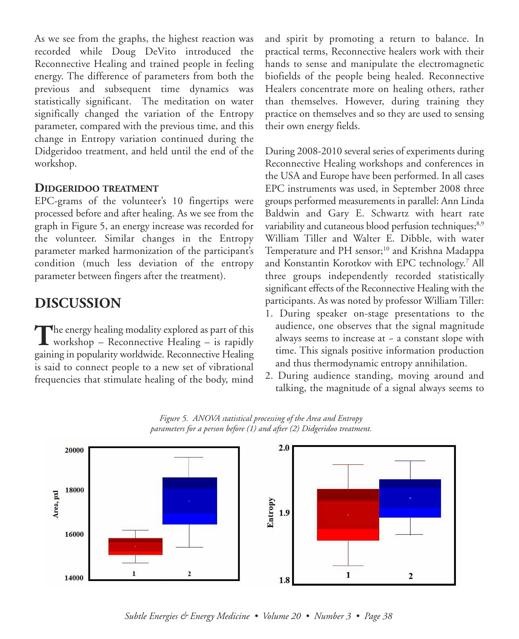As we see from the graphs, the highest reaction was recorded while Doug DeVito introduced the Reconnective Healing and trained people in feeling energy. The difference of parameters from both the previous and subsequent time dynamics was statistically significant. The meditation on water significally changed the variation of the Entropy parameter, compared with the previous time, and this change in Entropy variation continued during the Didgeridoo treatment, and held until the end of the workshop.

#### **DIDGERIDOO TREATMENT**

EPC-grams of the volunteer's 10 fingertips were processed before and after healing. As we see from the graph in Figure 5, an energy increase was recorded for the volunteer. Similar changes in the Entropy parameter marked harmonization of the participant's condition (much less deviation of the entropy parameter between fingers after the treatment).

## **DISCUSSION**

**The energy healing modality explored as part of this** workshop – Reconnective Healing – is rapidly gaining in popularity worldwide. Reconnective Healing is said to connect people to a new set of vibrational frequencies that stimulate healing of the body, mind

and spirit by promoting a return to balance. In practical terms, Reconnective healers work with their hands to sense and manipulate the electromagnetic biofields of the people being healed. Reconnective Healers concentrate more on healing others, rather than themselves. However, during training they practice on themselves and so they are used to sensing their own energy fields.

During 2008-2010 several series of experiments during Reconnective Healing workshops and conferences in the USA and Europe have been performed. In all cases EPC instruments was used, in September 2008 three groups performed measurements in parallel: Ann Linda Baldwin and Gary E. Schwartz with heart rate variability and cutaneous blood perfusion techniques;<sup>8,9</sup> William Tiller and Walter E. Dibble, with water Temperature and PH sensor; <sup>10</sup> and Krishna Madappa and Konstantin Korotkov with EPC technology. <sup>7</sup> All three groups independently recorded statistically significant effects of the Reconnective Healing with the participants. As was noted by professor William Tiller:

- 1. During speaker on-stage presentations to the audience, one observes that the signal magnitude always seems to increase at  $\sim$  a constant slope with time. This signals positive information production and thus thermodynamic entropy annihilation.
- 2. During audience standing, moving around and talking, the magnitude of a signal always seems to



*Figure 5. ANOVA statistical processing of the Area and Entropy parameters for a person before (1) and after (2) Didgeridoo treatment.*

*Subtle Energies & Energy Medicine • Volume 20 • Number 3 • Page 38*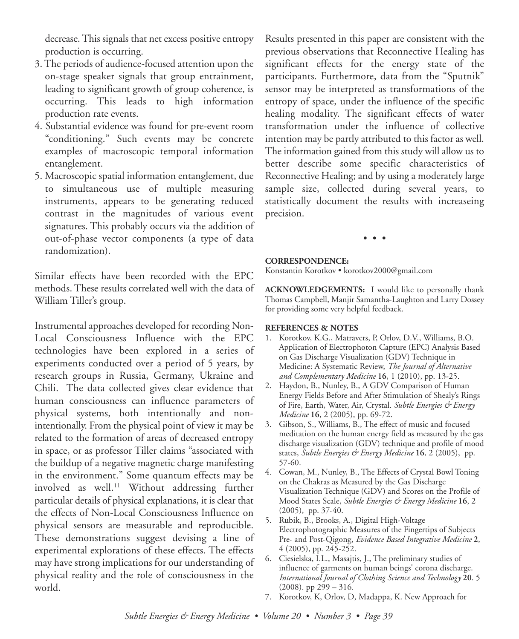decrease.This signals that net excess positive entropy production is occurring.

- 3. The periods of audience-focused attention upon the on-stage speaker signals that group entrainment, leading to significant growth of group coherence, is occurring. This leads to high information production rate events.
- 4. Substantial evidence was found for pre-event room "conditioning." Such events may be concrete examples of macroscopic temporal information entanglement.
- 5. Macroscopic spatial information entanglement, due to simultaneous use of multiple measuring instruments, appears to be generating reduced contrast in the magnitudes of various event signatures. This probably occurs via the addition of out-of-phase vector components (a type of data randomization).

Similar effects have been recorded with the EPC methods. These results correlated well with the data of William Tiller's group.

Instrumental approaches developed for recording Non-Local Consciousness Influence with the EPC technologies have been explored in a series of experiments conducted over a period of 5 years, by research groups in Russia, Germany, Ukraine and Chili. The data collected gives clear evidence that human consciousness can influence parameters of physical systems, both intentionally and nonintentionally. From the physical point of view it may be related to the formation of areas of decreased entropy in space, or as professor Tiller claims "associated with the buildup of a negative magnetic charge manifesting in the environment." Some quantum effects may be involved as well. <sup>11</sup> Without addressing further particular details of physical explanations, it is clear that the effects of Non-Local Consciousness Influence on physical sensors are measurable and reproducible. These demonstrations suggest devising a line of experimental explorations of these effects. The effects may have strong implications for our understanding of physical reality and the role of consciousness in the world.

Results presented in this paper are consistent with the previous observations that Reconnective Healing has significant effects for the energy state of the participants. Furthermore, data from the "Sputnik" sensor may be interpreted as transformations of the entropy of space, under the influence of the specific healing modality. The significant effects of water transformation under the influence of collective intention may be partly attributed to this factor as well. The information gained from this study will allow us to better describe some specific characteristics of Reconnective Healing; and by using a moderately large sample size, collected during several years, to statistically document the results with increaseing precision.

• • •

#### **CORRESPONDENCE:**

Konstantin Korotkov • korotkov2000@gmail.com

**ACKNOWLEDGEMENTS:** I would like to personally thank Thomas Campbell, Manjir Samantha-Laughton and Larry Dossey for providing some very helpful feedback.

#### **REFERENCES & NOTES**

- 1. Korotkov, K.G., Matravers, P, Orlov, D.V., Williams, B.O. Application of Electrophoton Capture (EPC) Analysis Based on Gas Discharge Visualization (GDV) Technique in Medicine: A Systematic Review, *The Journal of Alternative and Complementary Medicine* **16**, 1 (2010), pp. 13-25.
- 2. Haydon, B., Nunley, B., A GDV Comparison of Human Energy Fields Before and After Stimulation of Shealy's Rings of Fire, Earth, Water, Air, Crystal. *Subtle Energies & Energy Medicine* **16**, 2 (2005), pp. 69-72.
- 3. Gibson, S., Williams, B., The effect of music and focused meditation on the human energy field as measured by the gas discharge visualization (GDV) technique and profile of mood states, *Subtle Energies & Energy Medicine* **16**, 2 (2005), pp. 57-60.
- 4. Cowan, M., Nunley, B., The Effects of Crystal Bowl Toning on the Chakras as Measured by the Gas Discharge Visualization Technique (GDV) and Scores on the Profile of Mood States Scale, *Subtle Energies & Energy Medicine* **16**, 2 (2005), pp. 37-40.
- 5. Rubik, B., Brooks, A., Digital High-Voltage Electrophotographic Measures of the Fingertips of Subjects Pre- and Post-Qigong, *Evidence Based Integrative Medicine* **2**, 4 (2005), pp. 245-252.
- 6. Ciesielska, I.L., Masajtis, J., The preliminary studies of influence of garments on human beings' corona discharge. *International Journal of Clothing Science and Technology* **20**. 5 (2008). pp 299 – 316.
- 7. Korotkov, K, Orlov, D, Madappa, K. New Approach for